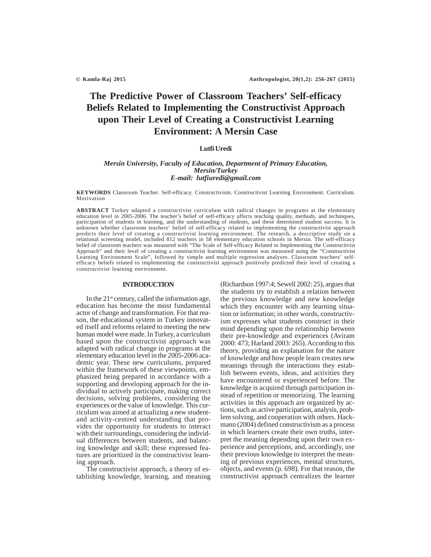# **The Predictive Power of Classroom Teachers' Self-efficacy Beliefs Related to Implementing the Constructivist Approach upon Their Level of Creating a Constructivist Learning Environment: A Mersin Case**

#### **Lutfi Uredi**

## *Mersin University, Faculty of Education, Department of Primary Education, Mersin/Turkey E-mail: lutfiuredi@gmail.com*

**KEYWORDS** Classroom Teacher. Self-efficacy. Constructivism. Constructivist Learning Environment. Curriculum. Motivation

**ABSTRACT** Turkey adapted a constructivist curriculum with radical changes in programs at the elementary education level in 2005-2006. The teacher's belief of self-efficacy affects teaching quality, methods, and techniques, participation of students in learning, and the understanding of students, and these determined student success. It is unknown whether classroom teachers' belief of self-efficacy related to implementing the constructivist approach predicts their level of creating a constructivist learning environment. The research, a descriptive study on a relational screening model, included 812 teachers in 58 elementary education schools in Mersin. The self-efficacy belief of classroom teachers was measured with "The Scale of Self-efficacy Related to Implementing the Constructivist Approach" and their level of creating a constructivist learning environment was measured using the "Constructivist Learning Environment Scale", followed by simple and multiple regression analyses. Classroom teachers' selfefficacy beliefs related to implementing the constructivist approach positively predicted their level of creating a constructivist learning environment.

#### **INTRODUCTION**

In the  $21<sup>st</sup>$  century, called the information age, education has become the most fundamental actor of change and transformation. For that reason, the educational system in Turkey innovated itself and reforms related to meeting the new human model were made. In Turkey, a curriculum based upon the constructivist approach was adapted with radical change in programs at the elementary education level in the 2005-2006 academic year. These new curriculums, prepared within the framework of these viewpoints, emphasized being prepared in accordance with a supporting and developing approach for the individual to actively participate, making correct decisions, solving problems, considering the experiences or the value of knowledge. This curriculum was aimed at actualizing a new studentand activity-centred understanding that provides the opportunity for students to interact with their surroundings, considering the individual differences between students, and balancing knowledge and skill; these expressed features are prioritized in the constructivist learning approach.

The constructivist approach, a theory of establishing knowledge, learning, and meaning (Richardson 1997:4; Sewell 2002: 25), argues that the students try to establish a relation between the previous knowledge and new knowledge which they encounter with any learning situation or information; in other words, constructivism expresses what students construct in their mind depending upon the relationship between their pre-knowledge and experiences (Aviram 2000: 473; Harland 2003: 265). According to this theory, providing an explanation for the nature of knowledge and how people learn creates new meanings through the interactions they establish between events, ideas, and activities they have encountered or experienced before. The knowledge is acquired through participation instead of repetition or memorizing. The learning activities in this approach are organized by actions, such as active participation, analysis, problem solving, and cooperation with others. Hackmann (2004) defined constructivism as a process in which learners create their own truths, interpret the meaning depending upon their own experience and perceptions, and, accordingly, use their previous knowledge to interpret the meaning of previous experiences, mental structures, objects, and events (p. 698). For that reason, the constructivist approach centralizes the learner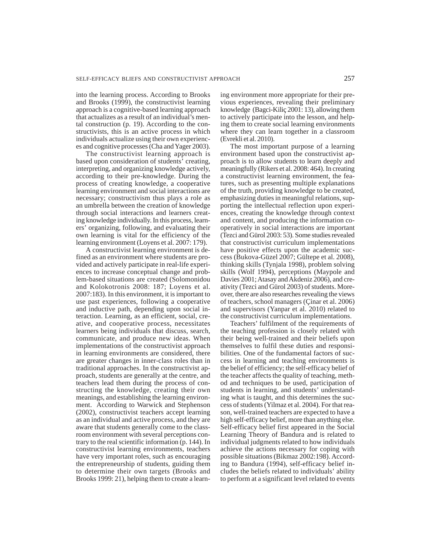into the learning process. According to Brooks and Brooks (1999), the constructivist learning approach is a cognitive-based learning approach that actualizes as a result of an individual's mental construction (p. 19). According to the constructivists, this is an active process in which individuals actualize using their own experiences and cognitive processes (Cha and Yager 2003).

The constructivist learning approach is based upon consideration of students' creating, interpreting, and organizing knowledge actively, according to their pre-knowledge. During the process of creating knowledge, a cooperative learning environment and social interactions are necessary; constructivism thus plays a role as an umbrella between the creation of knowledge through social interactions and learners creating knowledge individually. In this process, learners' organizing, following, and evaluating their own learning is vital for the efficiency of the learning environment (Loyens et al. 2007: 179).

A constructivist learning environment is defined as an environment where students are provided and actively participate in real-life experiences to increase conceptual change and problem-based situations are created (Solomonidou and Kolokotronis 2008: 187; Loyens et al. 2007:183). In this environment, it is important to use past experiences, following a cooperative and inductive path, depending upon social interaction. Learning, as an efficient, social, creative, and cooperative process, necessitates learners being individuals that discuss, search, communicate, and produce new ideas. When implementations of the constructivist approach in learning environments are considered, there are greater changes in inner-class roles than in traditional approaches. In the constructivist approach, students are generally at the centre, and teachers lead them during the process of constructing the knowledge, creating their own meanings, and establishing the learning environment. According to Warwick and Stephenson (2002), constructivist teachers accept learning as an individual and active process, and they are aware that students generally come to the classroom environment with several perceptions contrary to the real scientific information (p. 144). In constructivist learning environments, teachers have very important roles, such as encouraging the entrepreneurship of students, guiding them to determine their own targets (Brooks and Brooks 1999: 21), helping them to create a learning environment more appropriate for their previous experiences, revealing their preliminary knowledge (Bagci-Kiliç 2001: 13), allowing them to actively participate into the lesson, and helping them to create social learning environments where they can learn together in a classroom (Evrekli et al. 2010).

The most important purpose of a learning environment based upon the constructivist approach is to allow students to learn deeply and meaningfully (Rikers et al. 2008: 464). In creating a constructivist learning environment, the features, such as presenting multiple explanations of the truth, providing knowledge to be created, emphasizing duties in meaningful relations, supporting the intellectual reflection upon experiences, creating the knowledge through context and content, and producing the information cooperatively in social interactions are important (Tezci and Gürol 2003: 53). Some studies revealed that constructivist curriculum implementations have positive effects upon the academic success (Bukova-Güzel 2007; Gültepe et al. 2008), thinking skills (Tynjala 1998), problem solving skills (Wolf 1994), perceptions (Maypole and Davies 2001; Atasay and Akdeniz 2006), and creativity (Tezci and Gürol 2003) of students. Moreover, there are also researches revealing the views of teachers, school managers (Çinar et al. 2006) and supervisors (Yanpar et al. 2010) related to the constructivist curriculum implementations.

Teachers' fulfilment of the requirements of the teaching profession is closely related with their being well-trained and their beliefs upon themselves to fulfil these duties and responsibilities. One of the fundamental factors of success in learning and teaching environments is the belief of efficiency; the self-efficacy belief of the teacher affects the quality of teaching, method and techniques to be used, participation of students in learning, and students' understanding what is taught, and this determines the success of students (Yilmaz et al. 2004). For that reason, well-trained teachers are expected to have a high self-efficacy belief, more than anything else. Self-efficacy belief first appeared in the Social Learning Theory of Bandura and is related to individual judgments related to how individuals achieve the actions necessary for coping with possible situations (Bikmaz 2002:198). According to Bandura (1994), self-efficacy belief includes the beliefs related to individuals' ability to perform at a significant level related to events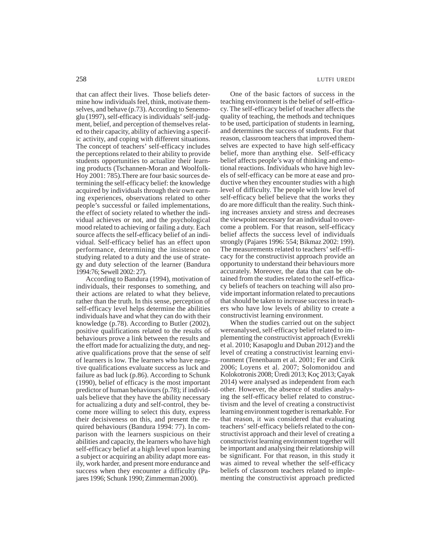that can affect their lives. Those beliefs determine how individuals feel, think, motivate themselves, and behave (p.73). According to Senemoglu (1997), self-efficacy is individuals' self-judgment, belief, and perception of themselves related to their capacity, ability of achieving a specific activity, and coping with different situations. The concept of teachers' self-efficacy includes the perceptions related to their ability to provide students opportunities to actualize their learning products (Tschannen-Moran and Woolfolk-Hoy 2001: 785).There are four basic sources determining the self-efficacy belief: the knowledge acquired by individuals through their own earning experiences, observations related to other people's successful or failed implementations, the effect of society related to whether the individual achieves or not, and the psychological mood related to achieving or failing a duty. Each source affects the self-efficacy belief of an individual. Self-efficacy belief has an effect upon performance, determining the insistence on studying related to a duty and the use of strategy and duty selection of the learner (Bandura 1994:76; Sewell 2002: 27).

According to Bandura (1994), motivation of individuals, their responses to something, and their actions are related to what they believe, rather than the truth. In this sense, perception of self-efficacy level helps determine the abilities individuals have and what they can do with their knowledge (p.78). According to Butler (2002), positive qualifications related to the results of behaviours prove a link between the results and the effort made for actualizing the duty, and negative qualifications prove that the sense of self of learners is low. The learners who have negative qualifications evaluate success as luck and failure as bad luck (p.86). According to Schunk (1990), belief of efficacy is the most important predictor of human behaviours (p.78); if individuals believe that they have the ability necessary for actualizing a duty and self-control, they become more willing to select this duty, express their decisiveness on this, and present the required behaviours (Bandura 1994: 77). In comparison with the learners suspicious on their abilities and capacity, the learners who have high self-efficacy belief at a high level upon learning a subject or acquiring an ability adapt more easily, work harder, and present more endurance and success when they encounter a difficulty (Pajares 1996; Schunk 1990; Zimmerman 2000).

258 LUTFI UREDI

One of the basic factors of success in the teaching environment is the belief of self-efficacy. The self-efficacy belief of teacher affects the quality of teaching, the methods and techniques to be used, participation of students in learning, and determines the success of students. For that reason, classroom teachers that improved themselves are expected to have high self-efficacy belief, more than anything else. Self-efficacy belief affects people's way of thinking and emotional reactions. Individuals who have high levels of self-efficacy can be more at ease and productive when they encounter studies with a high level of difficulty. The people with low level of self-efficacy belief believe that the works they do are more difficult than the reality. Such thinking increases anxiety and stress and decreases the viewpoint necessary for an individual to overcome a problem. For that reason, self-efficacy belief affects the success level of individuals strongly (Pajares 1996: 554; Bikmaz 2002: 199). The measurements related to teachers' self-efficacy for the constructivist approach provide an opportunity to understand their behaviours more accurately. Moreover, the data that can be obtained from the studies related to the self-efficacy beliefs of teachers on teaching will also provide important information related to precautions that should be taken to increase success in teachers who have low levels of ability to create a constructivist learning environment.

When the studies carried out on the subject wereanalysed, self-efficacy belief related to implementing the constructivist approach (Evrekli et al. 2010; Kasapoglu and Duban 2012) and the level of creating a constructivist learning environment (Tenenbaum et al. 2001; Fer and Cirik 2006; Loyens et al. 2007; Solomonidou and Kolokotronis 2008; Üredi 2013; Koç 2013; Çayak 2014) were analysed as independent from each other. However, the absence of studies analysing the self-efficacy belief related to constructivism and the level of creating a constructivist learning environment together is remarkable. For that reason, it was considered that evaluating teachers' self-efficacy beliefs related to the constructivist approach and their level of creating a constructivist learning environment together will be important and analysing their relationship will be significant. For that reason, in this study it was aimed to reveal whether the self-efficacy beliefs of classroom teachers related to implementing the constructivist approach predicted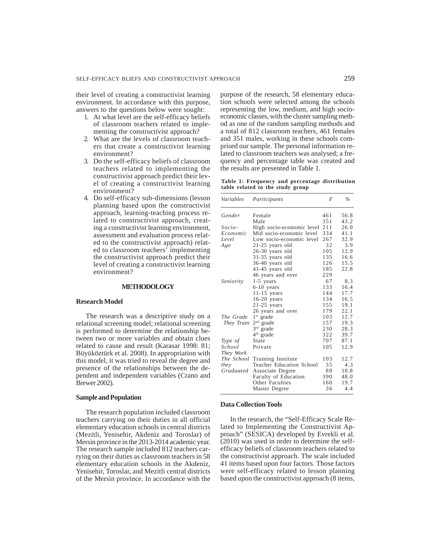their level of creating a constructivist learning environment. In accordance with this purpose, answers to the questions below were sought:

- 1. At what level are the self-efficacy beliefs of classroom teachers related to implementing the constructivist approach?
- 2. What are the levels of classroom teachers that create a constructivist learning environment?
- 3. Do the self-efficacy beliefs of classroom teachers related to implementing the constructivist approach predict their level of creating a constructivist learning environment?
- 4. Do self-efficacy sub-dimensions (lesson planning based upon the constructivist approach, learning-teaching process related to constructivist approach, creating a constructivist learning environment, assessment and evaluation process related to the constructivist approach) related to classroom teachers' implementing the constructivist approach predict their level of creating a constructivist learning environment?

#### **METHODOLOGY**

## **Research Model**

The research was a descriptive study on a relational screening model; relational screening is performed to determine the relationship between two or more variables and obtain clues related to cause and result (Karasar 1998: 81; Büyüköztürk et al. 2008). In appropriation with this model, it was tried to reveal the degree and presence of the relationships between the dependent and independent variables (Crano and Brewer 2002).

#### **Sample and Population**

The research population included classroom teachers carrying on their duties in all official elementary education schools in central districts (Mezitli, Yenisehir, Akdeniz and Toroslar) of Mersin province in the 2013-2014 academic year. The research sample included 812 teachers carrying on their duties as classroom teachers in 58 elementary education schools in the Akdeniz, Yenisehir, Toroslar, and Mezitli central districts of the Mersin province. In accordance with the

purpose of the research, 58 elementary education schools were selected among the schools representing the low, medium, and high socioeconomic classes, with the cluster sampling method as one of the random sampling methods and a total of 812 classroom teachers, 461 females and 351 males, working in these schools comprised our sample. The personal information related to classroom teachers was analysed; a frequency and percentage table was created and the results are presented in Table 1.

**Table 1: Frequency and percentage distribution table related to the study group**

| Variables  | Participants                  | F   | $\%$ |
|------------|-------------------------------|-----|------|
| Gender     | Female                        | 461 | 56.8 |
|            | Male                          | 351 | 43.2 |
| Socio-     | High socio-economic level 211 |     | 26.0 |
| Economic   | Mid socio-economic level      | 334 | 41.1 |
| Level      | Low socio-economic level      | 267 | 32.9 |
| Age        | 21-25 years old               | 32  | 3.9  |
|            | 26-30 years old               | 105 | 12.9 |
|            | 31-35 years old               | 135 | 16.6 |
|            | 36-40 years old               | 126 | 15.5 |
|            | 41-45 years old               | 185 | 22.8 |
|            | 46 years and over             | 229 |      |
| Seniority  | $1-5$ years                   | 67  | 8.3  |
|            | $6-10$ years                  | 133 | 16.4 |
|            | $11-15$ years                 | 144 | 17.7 |
|            | $16-20$ years                 | 134 | 16.5 |
|            | $21-25$ years                 | 155 | 19.1 |
|            | 26 years and over             | 179 | 22.1 |
| The Grade  | $1st$ grade                   | 103 | 12.7 |
| They Train | $2nd$ grade                   | 157 | 19.3 |
|            | 3rd grade                     | 230 | 28.3 |
|            | 4 <sup>th</sup> grade         | 322 | 39.7 |
| Type of    | State                         | 707 | 87.1 |
| School     | Private                       | 105 | 12.9 |
| They Work  |                               |     |      |
| The School | Training Institute            | 103 | 12.7 |
| they       | Teacher Education School      | 35  | 4.3  |
| Graduated  | Associate Degree              | 88  | 10.8 |
|            | Faculty of Education          | 390 | 48.0 |
|            | Other Faculties               | 160 | 19.7 |
|            | Master Degree                 | 36  | 4.4  |

#### **Data Collection Tools**

In the research, the "Self-Efficacy Scale Related to Implementing the Constructivist Approach" (SESICA) developed by Evrekli et al. (2010) was used in order to determine the selfefficacy beliefs of classroom teachers related to the constructivist approach. The scale included 41 items based upon four factors. Those factors were self-efficacy related to lesson planning based upon the constructivist approach (8 items,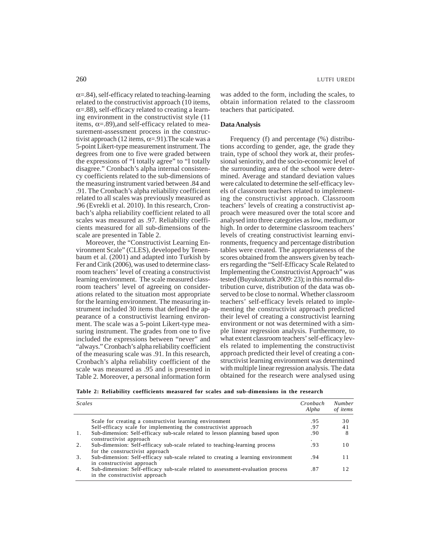$\alpha = 84$ ), self-efficacy related to teaching-learning related to the constructivist approach (10 items,  $\alpha = 88$ ), self-efficacy related to creating a learning environment in the constructivist style (11 items,  $\alpha = .89$ ), and self-efficacy related to measurement-assessment process in the constructivist approach (12 items,  $\alpha = .91$ ). The scale was a 5-point Likert-type measurement instrument. The degrees from one to five were graded between the expressions of "I totally agree" to "I totally disagree." Cronbach's alpha internal consistency coefficients related to the sub-dimensions of the measuring instrument varied between .84 and .91. The Cronbach's alpha reliability coefficient related to all scales was previously measured as .96 (Evrekli et al. 2010). In this research, Cronbach's alpha reliability coefficient related to all scales was measured as .97. Reliability coefficients measured for all sub-dimensions of the scale are presented in Table 2.

Moreover, the "Constructivist Learning Environment Scale" (CLES), developed by Tenenbaum et al. (2001) and adapted into Turkish by Fer and Cirik (2006), was used to determine classroom teachers' level of creating a constructivist learning environment. The scale measured classroom teachers' level of agreeing on considerations related to the situation most appropriate for the learning environment. The measuring instrument included 30 items that defined the appearance of a constructivist learning environment. The scale was a 5-point Likert-type measuring instrument. The grades from one to five included the expressions between "never" and "always." Cronbach's alpha reliability coefficient of the measuring scale was .91. In this research, Cronbach's alpha reliability coefficient of the scale was measured as .95 and is presented in Table 2. Moreover, a personal information form was added to the form, including the scales, to obtain information related to the classroom teachers that participated.

#### **Data Analysis**

Frequency (f) and percentage (%) distributions according to gender, age, the grade they train, type of school they work at, their professional seniority, and the socio-economic level of the surrounding area of the school were determined. Average and standard deviation values were calculated to determine the self-efficacy levels of classroom teachers related to implementing the constructivist approach. Classroom teachers' levels of creating a constructivist approach were measured over the total score and analysed into three categories as low, medium,or high. In order to determine classroom teachers' levels of creating constructivist learning environments, frequency and percentage distribution tables were created. The appropriateness of the scores obtained from the answers given by teachers regarding the "Self-Efficacy Scale Related to Implementing the Constructivist Approach" was tested (Buyukozturk 2009: 23); in this normal distribution curve, distribution of the data was observed to be close to normal. Whether classroom teachers' self-efficacy levels related to implementing the constructivist approach predicted their level of creating a constructivist learning environment or not was determined with a simple linear regression analysis. Furthermore, to what extent classroom teachers' self-efficacy levels related to implementing the constructivist approach predicted their level of creating a constructivist learning environment was determined with multiple linear regression analysis. The data obtained for the research were analysed using

|  |  |  | Table 2: Reliability coefficients measured for scales and sub-dimensions in the research |  |  |  |  |  |  |  |  |  |  |
|--|--|--|------------------------------------------------------------------------------------------|--|--|--|--|--|--|--|--|--|--|
|--|--|--|------------------------------------------------------------------------------------------|--|--|--|--|--|--|--|--|--|--|

| Scales |                                                                                                                   | Cronbach<br>Alpha | Number<br>of items |
|--------|-------------------------------------------------------------------------------------------------------------------|-------------------|--------------------|
|        | Scale for creating a constructivist learning environment                                                          | .95               | 30                 |
|        | Self-efficacy scale for implementing the constructivist approach                                                  | .97               | 41                 |
| 1.     | Sub-dimension: Self-efficacy sub-scale related to lesson planning based upon<br>constructivist approach           | .90               | 8                  |
| 2.     | Sub-dimension: Self-efficacy sub-scale related to teaching-learning process<br>for the constructivist approach    | .93               | 10                 |
| 3.     | Sub-dimension: Self-efficacy sub-scale related to creating a learning environment<br>in constructivist approach   | .94               |                    |
| 4.     | Sub-dimension: Self-efficacy sub-scale related to assessment-evaluation process<br>in the constructivist approach | .87               |                    |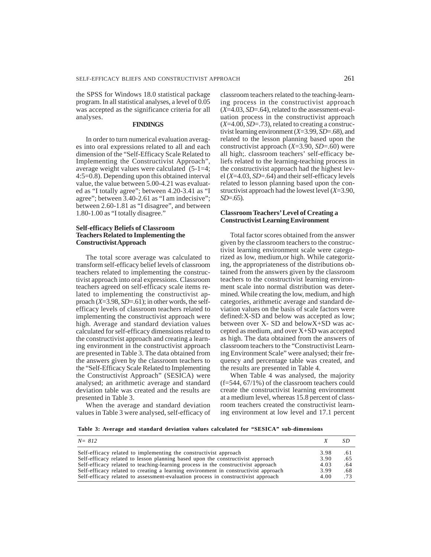the SPSS for Windows 18.0 statistical package program. In all statistical analyses, a level of 0.05 was accepted as the significance criteria for all analyses.

#### **FINDINGS**

In order to turn numerical evaluation averages into oral expressions related to all and each dimension of the "Self-Efficacy Scale Related to Implementing the Constructivist Approach", average weight values were calculated (5-1=4; 4:5=0.8). Depending upon this obtained interval value, the value between 5.00-4.21 was evaluated as "I totally agree"; between 4.20-3.41 as "I agree"; between 3.40-2.61 as "I am indecisive"; between 2.60-1.81 as "I disagree", and between 1.80-1.00 as "I totally disagree."

#### **Self-efficacy Beliefs of Classroom Teachers Related to Implementing the Constructivist Approach**

The total score average was calculated to transform self-efficacy belief levels of classroom teachers related to implementing the constructivist approach into oral expressions. Classroom teachers agreed on self-efficacy scale items related to implementing the constructivist approach  $(X=3.98, SD=.61)$ ; in other words, the selfefficacy levels of classroom teachers related to implementing the constructivist approach were high. Average and standard deviation values calculated for self-efficacy dimensions related to the constructivist approach and creating a learning environment in the constructivist approach are presented in Table 3. The data obtained from the answers given by the classroom teachers to the "Self-Efficacy Scale Related to Implementing the Constructivist Approach" (SESICA) were analysed; an arithmetic average and standard deviation table was created and the results are presented in Table 3.

When the average and standard deviation values in Table 3 were analysed, self-efficacy of classroom teachers related to the teaching-learning process in the constructivist approach (*X*=4.03, *SD*=.64), related to the assessment-evaluation process in the constructivist approach (*X*=4.00, *SD*=.73), related to creating a constructivist learning environment (*X*=3.99, *SD*=.68), and related to the lesson planning based upon the constructivist approach (*X*=3.90, *SD*=.60) were all high;. classroom teachers' self-efficacy beliefs related to the learning-teaching process in the constructivist approach had the highest level (*X*=4.03, *SD*=.64) and their self-efficacy levels related to lesson planning based upon the constructivist approach had the lowest level (*X*=3.90, *SD*=.65).

#### **Classroom Teachers' Level of Creating a Constructivist Learning Environment**

Total factor scores obtained from the answer given by the classroom teachers to the constructivist learning environment scale were categorized as low, medium,or high. While categorizing, the appropriateness of the distributions obtained from the answers given by the classroom teachers to the constructivist learning environment scale into normal distribution was determined. While creating the low, medium, and high categories, arithmetic average and standard deviation values on the basis of scale factors were defined:X-SD and below was accepted as low; between over X- SD and belowX+SD was accepted as medium, and over X+SD was accepted as high. The data obtained from the answers of classroom teachers to the "Constructivist Learning Environment Scale" were analysed; their frequency and percentage table was created, and the results are presented in Table 4.

When Table 4 was analysed, the majority (f=544, 67/1%) of the classroom teachers could create the constructivist learning environment at a medium level, whereas 15.8 percent of classroom teachers created the constructivist learning environment at low level and 17.1 percent

**Table 3: Average and standard deviation values calculated for "SESICA" sub-dimensions**

| $N = 812$                                                                           |      | SD  |
|-------------------------------------------------------------------------------------|------|-----|
| Self-efficacy related to implementing the constructivist approach                   | 3.98 | .61 |
| Self-efficacy related to lesson planning based upon the constructivist approach     | 3.90 | .65 |
| Self-efficacy related to teaching-learning process in the constructivist approach   | 4.03 | .64 |
| Self-efficacy related to creating a learning environment in constructivist approach | 3.99 | .68 |
| Self-efficacy related to assessment-evaluation process in constructivist approach   | 4.00 |     |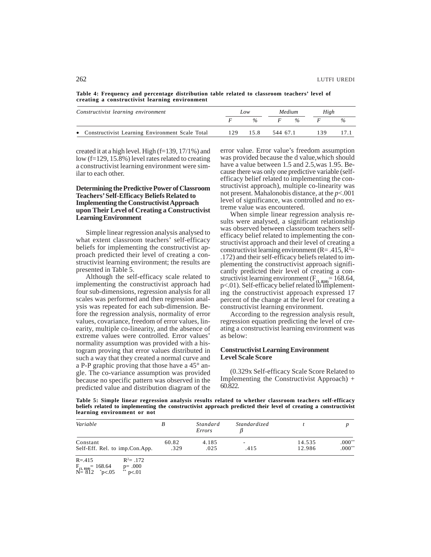**Table 4: Frequency and percentage distribution table related to classroom teachers' level of creating a constructivist learning environment**

| Constructivist learning environment               |     | Low           |          | Medium        |     | High |
|---------------------------------------------------|-----|---------------|----------|---------------|-----|------|
|                                                   |     | $\frac{0}{6}$ |          | $\frac{0}{6}$ |     |      |
| • Constructivist Learning Environment Scale Total | 129 | 15.8          | 544 67.1 |               | 139 |      |

created it at a high level. High  $(f=139, 17/1\%)$  and low (f=129, 15.8%) level rates related to creating a constructivist learning environment were similar to each other.

### **Determining the Predictive Power of Classroom Teachers' Self-Efficacy Beliefs Related to Implementing the Constructivist Approach upon Their Level of Creating a Constructivist Learning Environment**

Simple linear regression analysis analysed to what extent classroom teachers' self-efficacy beliefs for implementing the constructivist approach predicted their level of creating a constructivist learning environment; the results are presented in Table 5.

Although the self-efficacy scale related to implementing the constructivist approach had four sub-dimensions, regression analysis for all scales was performed and then regression analysis was repeated for each sub-dimension. Before the regression analysis, normality of error values, covariance, freedom of error values, linearity, multiple co-linearity, and the absence of extreme values were controlled. Error values' normality assumption was provided with a histogram proving that error values distributed in such a way that they created a normal curve and a P-P graphic proving that those have a 45° angle. The co-variance assumption was provided because no specific pattern was observed in the predicted value and distribution diagram of the error value. Error value's freedom assumption was provided because the d value,which should have a value between 1.5 and 2.5,was 1.95. Because there was only one predictive variable (selfefficacy belief related to implementing the constructivist approach), multiple co-linearity was not present. Mahalonobis distance, at the *p*<.001 level of significance, was controlled and no extreme value was encountered.

When simple linear regression analysis results were analysed, a significant relationship was observed between classroom teachers selfefficacy belief related to implementing the constructivist approach and their level of creating a constructivist learning environment ( $R = .415$ ,  $\overline{R^2} =$ .172) and their self-efficacy beliefs related to implementing the constructivist approach significantly predicted their level of creating a constructivist learning environment  $(F_{(1, 810)} = 168.64,$ p<.01). Self-efficacy belief related to implementing the constructivist approach expressed 17 percent of the change at the level for creating a constructivist learning environment.

According to the regression analysis result, regression equation predicting the level of creating a constructivist learning environment was as below:

#### **Constructivist Learning Environment Level Scale Score**

(0.329x Self-efficacy Scale Score Related to Implementing the Constructivist Approach) + 60.822.

**Table 5: Simple linear regression analysis results related to whether classroom teachers self-efficacy beliefs related to implementing the constructivist approach predicted their level of creating a constructivist learning environment or not**

| Variable                       |       | <i>Standard</i><br>Errors | Standardized |        |          |
|--------------------------------|-------|---------------------------|--------------|--------|----------|
| Constant                       | 60.82 | 4.185                     | ۰            | 14.535 | $.000**$ |
| Self-Eff. Rel. to imp.Con.App. | .329  | .025                      | .415         | 12.986 | $.000**$ |

R=.415 R<sup>2</sup>= .172<br>F<sub>(1, 810</sub>= 168.64 p= .000  $R^2 = .172$ 

 $F_{(1, 810)} = 168.64$  p= .000<br>N= 812 \*p<.05 \*\* p<.01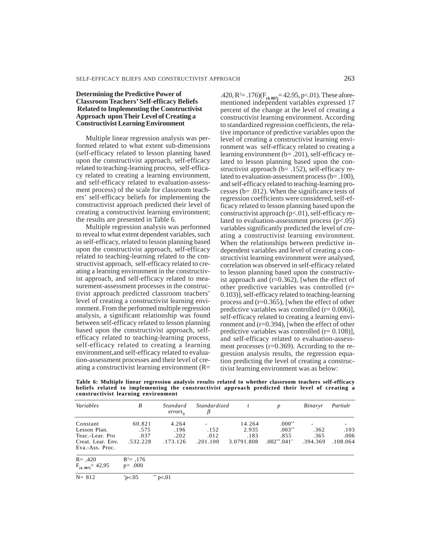#### **Determining the Predictive Power of Classroom Teachers' Self-efficacy Beliefs Related to Implementing the Constructivist Approach upon Their Level of Creating a Constructivist Learning Environment**

Multiple linear regression analysis was performed related to what extent sub-dimensions (self-efficacy related to lesson planning based upon the constructivist approach, self-efficacy related to teaching-learning process, self-efficacy related to creating a learning environment, and self-efficacy related to evaluation-assessment process) of the scale for classroom teachers' self-efficacy beliefs for implementing the constructivist approach predicted their level of creating a constructivist learning environment; the results are presented in Table 6.

Multiple regression analysis was performed to reveal to what extent dependent variables, such as self-efficacy, related to lesson planning based upon the constructivist approach, self-efficacy related to teaching-learning related to the constructivist approach, self-efficacy related to creating a learning environment in the constructivist approach, and self-efficacy related to measurement-assessment processes in the constructivist approach predicted classroom teachers' level of creating a constructivist learning environment. From the performed multiple regression analysis, a significant relationship was found between self-efficacy related to lesson planning based upon the constructivist approach, selfefficacy related to teaching-learning process, self-efficacy related to creating a learning environment,and self-efficacy related to evaluation-assessment processes and their level of creating a constructivist learning environment (R=

.420,  $R^2 = .176$ ) $(F_{(4, 807)} = 42.95, p < .01)$ . These aforementioned independent variables expressed 17 percent of the change at the level of creating a constructivist learning environment. According to standardized regression coefficients, the relative importance of predictive variables upon the level of creating a constructivist learning environment was self-efficacy related to creating a learning environment (b= .201), self-efficacy related to lesson planning based upon the constructivist approach (b= .152), self-efficacy related to evaluation-assessment process (b= .100), and self-efficacy related to teaching-learning processes (b= .012). When the significance tests of regression coefficients were considered, self-efficacy related to lesson planning based upon the constructivist approach  $(p<0.01)$ , self-efficacy related to evaluation-assessment process (p<.05) variables significantly predicted the level of creating a constructivist learning environment. When the relationships between predictive independent variables and level of creating a constructivist learning environment were analysed, correlation was observed in self-efficacy related to lesson planning based upon the constructivist approach and  $(r=0.362)$ , [when the effect of other predictive variables was controlled (r= 0.103)], self-efficacy related to teaching-learning process and  $(r=0.365)$ , [when the effect of other predictive variables was controlled  $(r= 0.006)$ ], self-efficacy related to creating a learning environment and  $(r=0.394)$ , [when the effect of other predictive variables was controlled  $(r= 0.108)$ ], and self-efficacy related to evaluation-assessment processes (r=0.369). According to the regression analysis results, the regression equation predicting the level of creating a constructivist learning environment was as below:

*Variables B Standard Standardized t p Binaryr Partialr*  $errors_{R}$  β  $Constant$   $60.821$   $4.264$   $14.264$   $.000**$   $-$ Lesson Plan. .575 .196 .152 2.935 .003\*\* .362 .103 183 .855 .006 .012 .183 .855 .006 .012 .183 .855 .006 .012 .183 .55 .006 .012<br>Creat. Lear. Env. .532.228 .173.126 .201.100 3.0791.808 .002\*\*.041\* .394.369 .108.064 Creat. Lear. Env. .532.228 .173.126 .201.100 Eva.-Ass. Proc. R= ,420  $R^2$ = ,176<br>F<sub>(4,897</sub> = 42,95 p= .000  $R^2 = 176$  $F_{(4, 807)} = 42,95$  $N = 812$   $p < .05$  $*$  p $< 01$ 

**Table 6: Multiple linear regression analysis results related to whether classroom teachers self-efficacy beliefs related to implementing the constructivist approach predicted their level of creating a constructivist learning environment**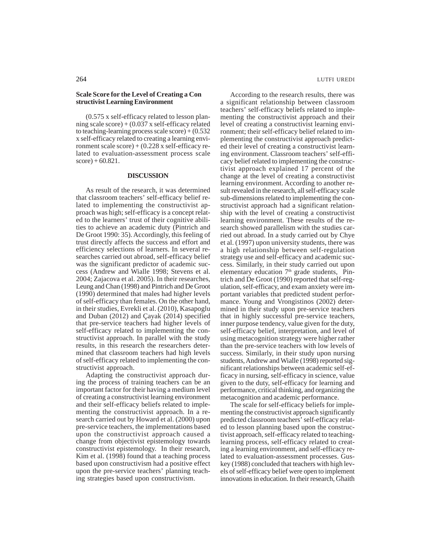(0.575 x self-efficacy related to lesson planning scale score)  $+ (0.037 \times \text{self-efficacy related})$ to teaching-learning process scale score)  $+ (0.532)$ x self-efficacy related to creating a learning environment scale  $score$ ) + (0.228 x self-efficacy related to evaluation-assessment process scale  $score) + 60.821.$ 

#### **DISCUSSION**

As result of the research, it was determined that classroom teachers' self-efficacy belief related to implementing the constructivist approach was high; self-efficacy is a concept related to the learners' trust of their cognitive abilities to achieve an academic duty (Pintrich and De Groot 1990: 35). Accordingly, this feeling of trust directly affects the success and effort and efficiency selections of learners. In several researches carried out abroad, self-efficacy belief was the significant predictor of academic success (Andrew and Wialle 1998; Stevens et al. 2004; Zajacova et al. 2005). In their researches, Leung and Chan (1998) and Pintrich and De Groot (1990) determined that males had higher levels of self-efficacy than females. On the other hand, in their studies, Evrekli et al. (2010), Kasapoglu and Duban (2012) and Çayak (2014) specified that pre-service teachers had higher levels of self-efficacy related to implementing the constructivist approach. In parallel with the study results, in this research the researchers determined that classroom teachers had high levels of self-efficacy related to implementing the constructivist approach.

Adapting the constructivist approach during the process of training teachers can be an important factor for their having a medium level of creating a constructivist learning environment and their self-efficacy beliefs related to implementing the constructivist approach. In a research carried out by Howard et al. (2000) upon pre-service teachers, the implementations based upon the constructivist approach caused a change from objectivist epistemology towards constructivist epistemology. In their research, Kim et al. (1998) found that a teaching process based upon constructivism had a positive effect upon the pre-service teachers' planning teaching strategies based upon constructivism.

According to the research results, there was a significant relationship between classroom teachers' self-efficacy beliefs related to implementing the constructivist approach and their level of creating a constructivist learning environment; their self-efficacy belief related to implementing the constructivist approach predicted their level of creating a constructivist learning environment. Classroom teachers' self-efficacy belief related to implementing the constructivist approach explained 17 percent of the change at the level of creating a constructivist learning environment. According to another result revealed in the research, all self-efficacy scale sub-dimensions related to implementing the constructivist approach had a significant relationship with the level of creating a constructivist learning environment. These results of the research showed parallelism with the studies carried out abroad. In a study carried out by Chye et al. (1997) upon university students, there was a high relationship between self-regulation strategy use and self-efficacy and academic success. Similarly, in their study carried out upon elementary education  $7<sup>th</sup>$  grade students, Pintrich and De Groot (1990) reported that self-regulation, self-efficacy, and exam anxiety were important variables that predicted student performance. Young and Vrongistinos (2002) determined in their study upon pre-service teachers that in highly successful pre-service teachers, inner purpose tendency, value given for the duty, self-efficacy belief, interpretation, and level of using metacognition strategy were higher rather than the pre-service teachers with low levels of success. Similarly, in their study upon nursing students, Andrew and Wialle (1998) reported significant relationships between academic self-efficacy in nursing, self-efficacy in science, value given to the duty, self-efficacy for learning and performance, critical thinking, and organizing the metacognition and academic performance.

The scale for self-efficacy beliefs for implementing the constructivist approach significantly predicted classroom teachers' self-efficacy related to lesson planning based upon the constructivist approach, self-efficacy related to teachinglearning process, self-efficacy related to creating a learning environment, and self-efficacy related to evaluation-assessment processes. Guskey (1988) concluded that teachers with high levels of self-efficacy belief were open to implement innovations in education. In their research, Ghaith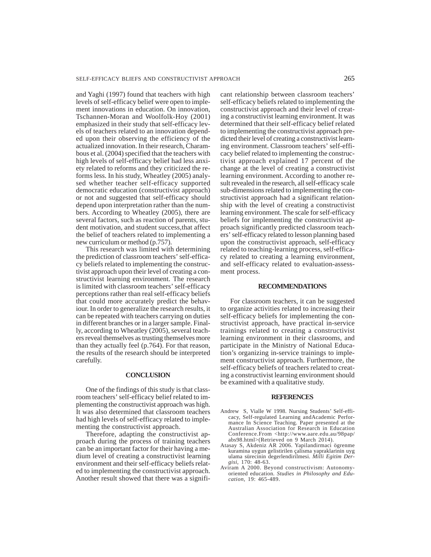and Yaghi (1997) found that teachers with high levels of self-efficacy belief were open to implement innovations in education. On innovation, Tschannen-Moran and Woolfolk-Hoy (2001) emphasized in their study that self-efficacy levels of teachers related to an innovation depended upon their observing the efficiency of the actualized innovation. In their research, Charambous et al. (2004) specified that the teachers with high levels of self-efficacy belief had less anxiety related to reforms and they criticized the reforms less. In his study, Wheatley (2005) analysed whether teacher self-efficacy supported democratic education (constructivist approach) or not and suggested that self-efficacy should depend upon interpretation rather than the numbers. According to Wheatley (2005), there are several factors, such as reaction of parents, student motivation, and student success,that affect the belief of teachers related to implementing a new curriculum or method (p.757).

This research was limited with determining the prediction of classroom teachers' self-efficacy beliefs related to implementing the constructivist approach upon their level of creating a constructivist learning environment. The research is limited with classroom teachers' self-efficacy perceptions rather than real self-efficacy beliefs that could more accurately predict the behaviour. In order to generalize the research results, it can be repeated with teachers carrying on duties in different branches or in a larger sample. Finally, according to Wheatley (2005), several teachers reveal themselves as trusting themselves more than they actually feel (p.764). For that reason, the results of the research should be interpreted carefully.

#### **CONCLUSION**

One of the findings of this study is that classroom teachers' self-efficacy belief related to implementing the constructivist approach was high. It was also determined that classroom teachers had high levels of self-efficacy related to implementing the constructivist approach.

Therefore, adapting the constructivist approach during the process of training teachers can be an important factor for their having a medium level of creating a constructivist learning environment and their self-efficacy beliefs related to implementing the constructivist approach. Another result showed that there was a significant relationship between classroom teachers' self-efficacy beliefs related to implementing the constructivist approach and their level of creating a constructivist learning environment. It was determined that their self-efficacy belief related to implementing the constructivist approach predicted their level of creating a constructivist learning environment. Classroom teachers' self-efficacy belief related to implementing the constructivist approach explained 17 percent of the change at the level of creating a constructivist learning environment. According to another result revealed in the research, all self-efficacy scale sub-dimensions related to implementing the constructivist approach had a significant relationship with the level of creating a constructivist learning environment. The scale for self-efficacy beliefs for implementing the constructivist approach significantly predicted classroom teachers' self-efficacy related to lesson planning based upon the constructivist approach, self-efficacy related to teaching-learning process, self-efficacy related to creating a learning environment, and self-efficacy related to evaluation-assessment process.

#### **RECOMMENDATIONS**

For classroom teachers, it can be suggested to organize activities related to increasing their self-efficacy beliefs for implementing the constructivist approach, have practical in-service trainings related to creating a constructivist learning environment in their classrooms, and participate in the Ministry of National Education's organizing in-service trainings to implement constructivist approach. Furthermore, the self-efficacy beliefs of teachers related to creating a constructivist learning environment should be examined with a qualitative study.

#### **REFERENCES**

- Andrew S, Vialle W 1998. Nursing Students' Self-efficacy, Self-regulated Learning andAcademic Performance In Science Teaching. Paper presented at the Australian Association for Research in Education Conference.From <http://www.aare.edu.au/98pap/ abs98.html>(Retrieved on 9 March 2014).
- Atasay S, Akdeniz AR 2006. Yapilandirmaci ögrenme kuramina uygun gelistirilen çalisma yapraklarinin uyg ulama sürecinin degerlendirilmesi. *Milli Egitim Dergisi,* 170: 48-63.
- Aviram A 2000. Beyond constructivism: Autonomyoriented education. *Studies in Philosophy and Education,* 19: 465-489.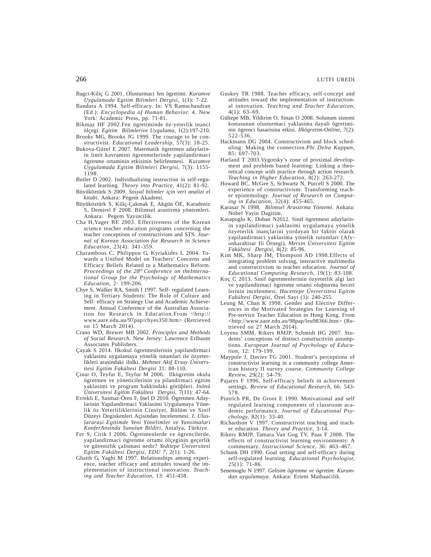- Bagci-Kiliç G 2001. Olusturmaci fen ögretimi. *Kuramve Uygulamada Egitim Bilimleri Dergisi,* 1(1): 7-22.
- Bandura A 1994. Self-efficacy. In: VS Ramachaudran (Ed.): *Encyclopedia of Human Behavior.* 4. New York: Academic Press, pp. 71-81.
- Bikmaz HF 2002.Fen ögretiminde öz-yeterlik inanci ölçegi. *Egitim Bilimlerive Uygulama*, 1(2):197-210.
- Brooks MG, Brooks JG 1999. The courage to be constructivist. *Educational Leadership*, 57(3): 18-25.
- Bukova-Güzel E 2007. Matematik ögretmen adaylarinin limit kavramini ögrenmelerinde yapilandirmaci ögrenme ortaminin etkisinin belirlenmesi. *Kuramve Uygulamada Egitim Bilimleri Dergisi,* 7(3): 1155- 1198.
- Butler D 2002. Individualizing instruction in self-regulated learning. *Theory into Practice,* 41(2): 81-92.
- Büyüköztürk S 2009. *Sosyal bilimler için veri analizi el kitabi.* Ankara: Pegem Akademi.
- Büyüköztürk S, Kiliç-Çakmak E, Akgün ÖE, Karadeniz S, Demirel F 2008. Bilimsel arastirma yöntemleri. Ankara: Pegem Yayincilik.
- Cha H,Yager RE 2003. Effectiveness of the Korean science teacher education programs concerning the teacher conceptions of constructivism and STS. *Journal of Korean Association for Research in Science Education,* 23(4): 341-359.
- Charambous C, Philippou G, Kyriakides L 2004. Towards a Unified Model on Teachers' Concerns and Efficacy Beliefs Related to a Mathematics Reform. *Proceedings of the 28th Conference on theInternational Group for the Psychology of Mathematics Education,* 2: 199-206.
- Chye S, Walker RA, Smith I 1997. Self- regulated Learning in Tertiary Students: The Role of Culture and Self- efficacy on Strategy Use and Academic Achievement. Annual Conference of the Australian Association for Research in Education*.*From <http:// www.aare.edu.au/97pap/chyes350.htm> (Retrieved on 15 March 2014).
- Crano WD, Brewer MB 2002. *Principles and Methods of Social Research*. New Jersey: Lawrence Erlbaum Associates Publishers.
- Çayak S 2014. Ilkokul ögretmenlerinin yapilandirmaci yaklasimi uygulamaya yönelik tutumlari ile özyeterlikleri arasindaki ilidki. *Mehmet Akif Ersoy Üniversitesi Egitim Fakültesi Dergisi* 31: 88-110.
- Çinar O, Teyfur E, Teyfur M 2006. Ilkögretim okulu ögretmen ve yöneticilerinin ya pilandirmaci egitim yaklasimi ve program hakkindaki görüþleri. *Inönü Üniversitesi Egitim Fakültesi Dergisi,* 7(11): 47-64.
- Evrekli E, Sasmaz-Ören F, Inel D 2010. Ögretmen Adaylarinin Yapilandirmaci Yaklasimi Uygulamaya Yönelik öz Yeterliliklerinin Cinsiyet, Bölüm ve Sinif Düzeyi Degiskenleri Açisindan Incelenmesi. *I. Uluslararasi Egitimde Yeni Yönelimler ve Yansimalari KonferAnsinda Sunulan Bildiri,* Antalya, Türkiye.
- Fer S, Cirik I 2006. Ögretmenlerde ve ögrencilerde, yapilandirmaci ögrenme ortami ölçeginin geçerlik ve güvenirlik çalismasi nedir? *Yeditepe Üniversitesi Egitim Fakültesi Dergisi, EDU 7,* 2(1): 1-26.
- Ghaith G, Yaghi M 1997. Relationships among experience, teacher efficacy and attitudes toward the implementation of instructional innovation. *Teaching and Teacher Education,* 13: 451-458.
- Guskey TR 1988. Teacher efficacy, self-concept and attitudes toward the implementation of instructional innovation. *Teaching and Teacher Education,*  $4(1): 63-69.$
- Gültepe MB, Yildirim O, Sinan O 2008. Solunum sistemi konusunun olusturmaci yaklasima dayali ögretiminin ögrenci basarisina etkisi. *Ilkögretim-Online*, 7(2): 522-536.
- Hackmann DG 2004. Constructivism and block scheduling: Making the connection.*Phi Delta Kappan*, 85: 697-703.
- Harland T 2003.Vygotsky's zone of proximal development and problem based learning: Linking a theoretical concept with practice through action research. *Teaching in Higher Education,* 8(2): 263-272.
- Howard BC, McGee S, Schwartz N, Purcell S 2000. The experience of constructivism: Transforming teacher epistemology. *Journal of Research on Computing in Education,* 32(4): 455-465.
- Karasar N 1998. *Bilimsel Ara*s*tirma Yöntemi*. Ankara: Nobel Yayin Dagitim.
- Kasapoglu K, Duban N2012. Sinif ögretmeni adaylarinin yapilandirmaci yaklasimi uygulamaya yönelik özyeterlik inançlarini yordayan bir faktör olarak yapilandirmaci yaklasima yönelik tutumlari (Afyonkarahisar Ili Örnegi). *Mersin Üniversitesi Egitim Fakültesi Dergisi,* 8(2): 85-96.
- Kim MK, Sharp JM, Thompson AD 1998.Effects of integrating problem solving, interactive multimedia and constructivism in teacher education. *Journal of Educational Computing Research,* 19(1): 83-108.
- Koç C 2013. Sinif ögretmenlerinin özyeterlik algi lari ve yapilandirmaci ögrenme ortami oluþturma beceri lerinin incelenmesi. *Hacettepe Üniversitesi Egitim Fakültesi Dergisi,* Özel Sayi (1): 240-255.
- Leung M, Chan K 1998. Gender and Elective Differences in the Motivated Strategies for Learning of Pre-service Teacher Education in Hong Kong. From <http://www.aare.edu.au/98pap/leu98366.htm> (Retrieved on 27 March 2014).
- Loyens SMM, Rikers RMJP, Schmidt HG 2007. Students' conceptions of distinct constructivist assumptions. *European Journal of Psychology of Education,* 12: 179-199.
- Maypole J, Davies TG 2001. Student's perceptions of constructivist learning in a community college American history II survey course. *Community College Review,* 29(2): 54-79.
- Pajares F 1996. Self-efficacy beliefs in achievement settings. *Review of Educational Research,* 66: 543- 578.
- Pintrich PR, De Groot E 1990. Motivational and self regulated learning components of classroom academic performance. *Journal of Educational Psychology,* 82(1): 33-40.
- Richardson V 1997. Constructivist teaching and teacher education. *Theory and Practice,* 3-14.
- Rikers RMJP, Tamara Van Gog TV, Paas F 2008. The effects of constructivist learning environments: A commentary. *Instructional Science,* 36: 463–467.
- Schunk DH 1990. Goal setting and self-efficacy during self-regulated learning. *Educational Psychologist,*  $25(1)$ : 71-86.
- Senemoglu N 1997. *Gelisim ögrenme ve ögretim: Kuramdan uygulamaya.* Ankara: Ertem Matbaacilik.